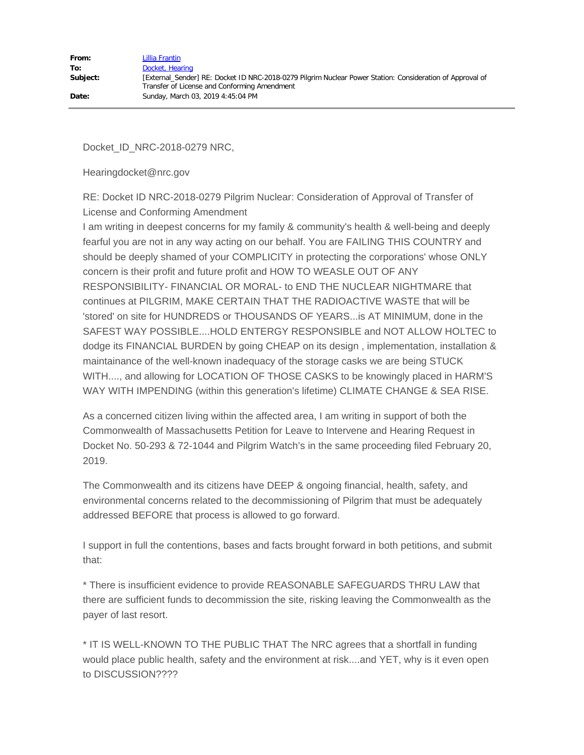| From:    | Lillia Frantin                                                                                                                                            |
|----------|-----------------------------------------------------------------------------------------------------------------------------------------------------------|
| To:      | Docket, Hearing                                                                                                                                           |
| Subject: | [External Sender] RE: Docket ID NRC-2018-0279 Pilgrim Nuclear Power Station: Consideration of Approval of<br>Transfer of License and Conforming Amendment |
| Date:    | Sunday, March 03, 2019 4:45:04 PM                                                                                                                         |

Docket\_ID\_NRC-2018-0279 NRC,

Hearingdocket@nrc.gov

RE: Docket ID NRC-2018-0279 Pilgrim Nuclear: Consideration of Approval of Transfer of License and Conforming Amendment

I am writing in deepest concerns for my family & community's health & well-being and deeply fearful you are not in any way acting on our behalf. You are FAILING THIS COUNTRY and should be deeply shamed of your COMPLICITY in protecting the corporations' whose ONLY concern is their profit and future profit and HOW TO WEASLE OUT OF ANY RESPONSIBILITY- FINANCIAL OR MORAL- to END THE NUCLEAR NIGHTMARE that continues at PILGRIM, MAKE CERTAIN THAT THE RADIOACTIVE WASTE that will be 'stored' on site for HUNDREDS or THOUSANDS OF YEARS...is AT MINIMUM, done in the SAFEST WAY POSSIBLE....HOLD ENTERGY RESPONSIBLE and NOT ALLOW HOLTEC to dodge its FINANCIAL BURDEN by going CHEAP on its design , implementation, installation & maintainance of the well-known inadequacy of the storage casks we are being STUCK WITH...., and allowing for LOCATION OF THOSE CASKS to be knowingly placed in HARM'S WAY WITH IMPENDING (within this generation's lifetime) CLIMATE CHANGE & SEA RISE.

As a concerned citizen living within the affected area, I am writing in support of both the Commonwealth of Massachusetts Petition for Leave to Intervene and Hearing Request in Docket No. 50-293 & 72-1044 and Pilgrim Watch's in the same proceeding filed February 20, 2019.

The Commonwealth and its citizens have DEEP & ongoing financial, health, safety, and environmental concerns related to the decommissioning of Pilgrim that must be adequately addressed BEFORE that process is allowed to go forward.

I support in full the contentions, bases and facts brought forward in both petitions, and submit that:

\* There is insufficient evidence to provide REASONABLE SAFEGUARDS THRU LAW that there are sufficient funds to decommission the site, risking leaving the Commonwealth as the payer of last resort.

\* IT IS WELL-KNOWN TO THE PUBLIC THAT The NRC agrees that a shortfall in funding would place public health, safety and the environment at risk....and YET, why is it even open to DISCUSSION????